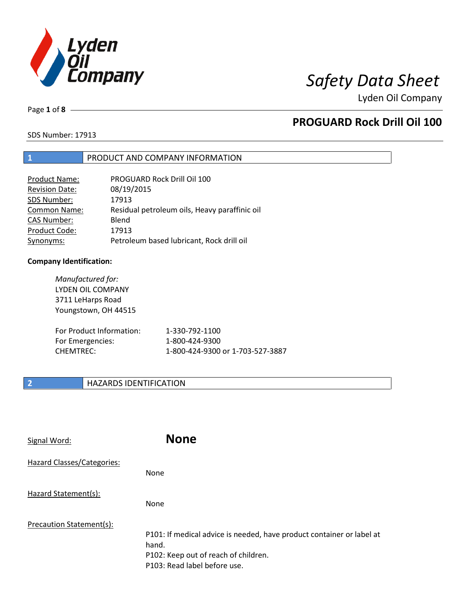

Page **1** of **8**

# **PROGUARD Rock Drill Oil 100**

SDS Number: 17913

### **1** PRODUCT AND COMPANY INFORMATION

| Product Name:         | PROGUARD Rock Drill Oil 100                   |
|-----------------------|-----------------------------------------------|
| <b>Revision Date:</b> | 08/19/2015                                    |
| SDS Number:           | 17913                                         |
| <b>Common Name:</b>   | Residual petroleum oils, Heavy paraffinic oil |
| <b>CAS Number:</b>    | Blend                                         |
| Product Code:         | 17913                                         |
| Synonyms:             | Petroleum based lubricant, Rock drill oil     |

### **Company Identification:**

*Manufactured for:* LYDEN OIL COMPANY 3711 LeHarps Road Youngstown, OH 44515 For Product Information: 1-330-792-1100 For Emergencies: 1-800-424-9300 CHEMTREC: 1-800-424-9300 or 1-703-527-3887

## **2 HAZARDS IDENTIFICATION**

| Signal Word:               | <b>None</b>                                                                                                                                            |
|----------------------------|--------------------------------------------------------------------------------------------------------------------------------------------------------|
| Hazard Classes/Categories: | None                                                                                                                                                   |
| Hazard Statement(s):       | None                                                                                                                                                   |
| Precaution Statement(s):   | P101: If medical advice is needed, have product container or label at<br>hand.<br>P102: Keep out of reach of children.<br>P103: Read label before use. |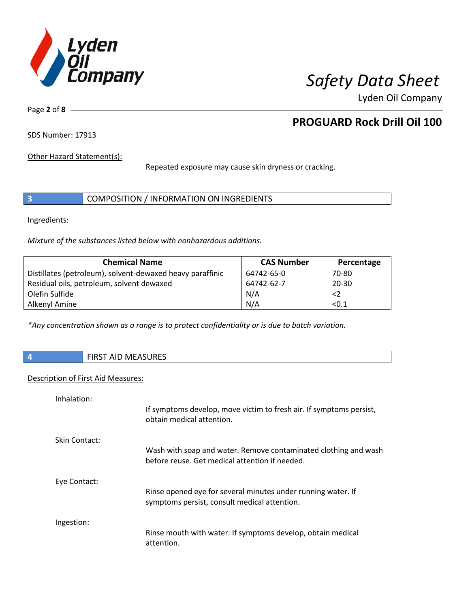

Page **2** of **8**

# **PROGUARD Rock Drill Oil 100**

SDS Number: 17913

Other Hazard Statement(s):

Repeated exposure may cause skin dryness or cracking.

|  | COMPOSITION / INFORMATION ON INGREDIENTS |  |
|--|------------------------------------------|--|
|--|------------------------------------------|--|

Ingredients:

*Mixture of the substances listed below with nonhazardous additions.*

| <b>Chemical Name</b>                                      | <b>CAS Number</b> | Percentage  |
|-----------------------------------------------------------|-------------------|-------------|
| Distillates (petroleum), solvent-dewaxed heavy paraffinic | 64742-65-0        | 70-80       |
| Residual oils, petroleum, solvent dewaxed                 | 64742-62-7        | $20 - 30$   |
| Olefin Sulfide                                            | N/A               | $\langle$ 2 |
| Alkenyl Amine                                             | N/A               | < 0.1       |

*\*Any concentration shown as a range is to protect confidentiality or is due to batch variation.*

**4** FIRST AID MEASURES

### Description of First Aid Measures:

| Inhalation:   |                                                                                                                   |
|---------------|-------------------------------------------------------------------------------------------------------------------|
|               | If symptoms develop, move victim to fresh air. If symptoms persist,<br>obtain medical attention.                  |
| Skin Contact: |                                                                                                                   |
|               | Wash with soap and water. Remove contaminated clothing and wash<br>before reuse. Get medical attention if needed. |
| Eye Contact:  |                                                                                                                   |
|               | Rinse opened eye for several minutes under running water. If<br>symptoms persist, consult medical attention.      |
| Ingestion:    |                                                                                                                   |
|               | Rinse mouth with water. If symptoms develop, obtain medical<br>attention.                                         |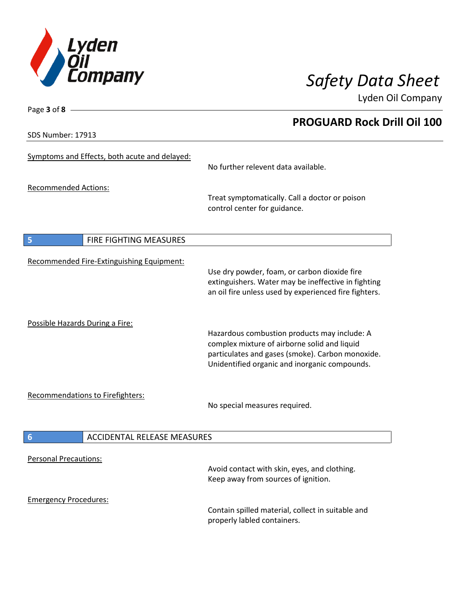

**PROGUARD Rock Drill Oil 100**

Lyden Oil Company

SDS Number: 17913

Page **3** of **8**

| Symptoms and Effects, both acute and delayed:         | No further relevent data available.                                                                                                                                                               |
|-------------------------------------------------------|---------------------------------------------------------------------------------------------------------------------------------------------------------------------------------------------------|
| <b>Recommended Actions:</b>                           | Treat symptomatically. Call a doctor or poison<br>control center for guidance.                                                                                                                    |
| FIRE FIGHTING MEASURES<br>5                           |                                                                                                                                                                                                   |
| Recommended Fire-Extinguishing Equipment:             | Use dry powder, foam, or carbon dioxide fire<br>extinguishers. Water may be ineffective in fighting<br>an oil fire unless used by experienced fire fighters.                                      |
| Possible Hazards During a Fire:                       | Hazardous combustion products may include: A<br>complex mixture of airborne solid and liquid<br>particulates and gases (smoke). Carbon monoxide.<br>Unidentified organic and inorganic compounds. |
| Recommendations to Firefighters:                      | No special measures required.                                                                                                                                                                     |
| $6\phantom{1}6$<br><b>ACCIDENTAL RELEASE MEASURES</b> |                                                                                                                                                                                                   |
| <b>Personal Precautions:</b>                          | Avoid contact with skin, eyes, and clothing.<br>Keep away from sources of ignition.                                                                                                               |
| <b>Emergency Procedures:</b>                          | Contain spilled material, collect in suitable and<br>properly labled containers.                                                                                                                  |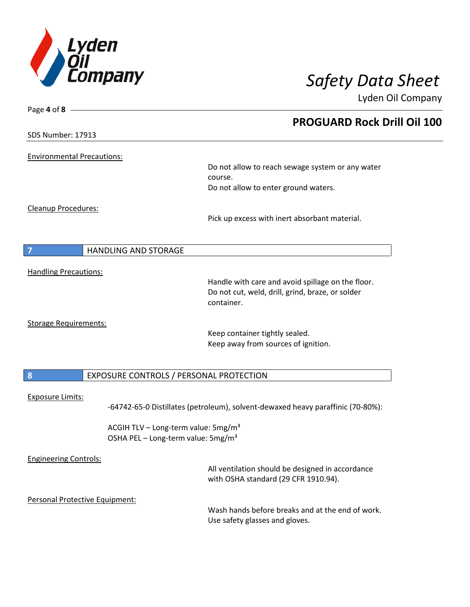

| Page 4 of 8 -                                 |                                                                                 |
|-----------------------------------------------|---------------------------------------------------------------------------------|
|                                               | <b>PROGUARD Rock Drill Oil 100</b>                                              |
| <b>SDS Number: 17913</b>                      |                                                                                 |
| <b>Environmental Precautions:</b>             |                                                                                 |
|                                               | Do not allow to reach sewage system or any water                                |
|                                               | course.                                                                         |
|                                               | Do not allow to enter ground waters.                                            |
| Cleanup Procedures:                           |                                                                                 |
|                                               | Pick up excess with inert absorbant material.                                   |
|                                               |                                                                                 |
| <b>HANDLING AND STORAGE</b><br>$\overline{7}$ |                                                                                 |
| <b>Handling Precautions:</b>                  |                                                                                 |
|                                               | Handle with care and avoid spillage on the floor.                               |
|                                               | Do not cut, weld, drill, grind, braze, or solder<br>container.                  |
| <b>Storage Requirements:</b>                  |                                                                                 |
|                                               | Keep container tightly sealed.                                                  |
|                                               | Keep away from sources of ignition.                                             |
|                                               |                                                                                 |
| $\boldsymbol{8}$                              | EXPOSURE CONTROLS / PERSONAL PROTECTION                                         |
| <b>Exposure Limits:</b>                       |                                                                                 |
|                                               | -64742-65-0 Distillates (petroleum), solvent-dewaxed heavy paraffinic (70-80%): |
|                                               | ACGIH TLV - Long-term value: 5mg/m <sup>3</sup>                                 |
|                                               | OSHA PEL - Long-term value: 5mg/m <sup>3</sup>                                  |
| <b>Engineering Controls:</b>                  |                                                                                 |
|                                               | All ventilation should be designed in accordance                                |
|                                               | with OSHA standard (29 CFR 1910.94).                                            |
| Personal Protective Equipment:                |                                                                                 |
|                                               | Wash hands before breaks and at the end of work.                                |
|                                               | Use safety glasses and gloves.                                                  |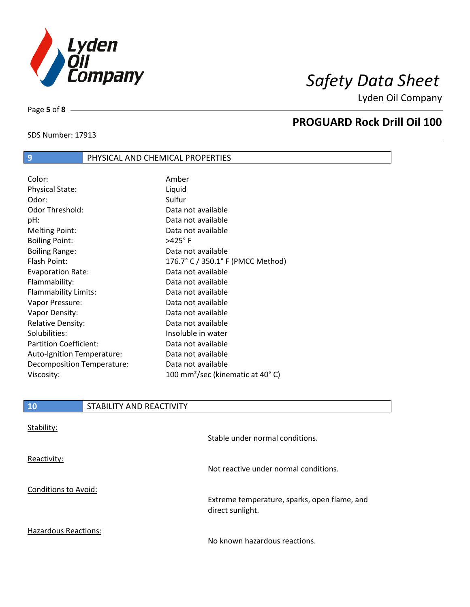

 $\overline{\phantom{a}}$ 

SDS Number: 17913

Page **5** of **8**

# **PROGUARD Rock Drill Oil 100**

| $\overline{9}$         | PHYSICAL AND CHEMICAL PROPERTIES |
|------------------------|----------------------------------|
|                        |                                  |
| Color:                 | Amber                            |
| <b>Physical State:</b> | Liquid                           |
| Odor:                  | Sulfur                           |
| Odor Threshold:        | Data not available               |
| pH:                    | Data not available               |
| <b>Melting Point:</b>  | Data not available               |
| <b>Boiling Point:</b>  | $>425^\circ$ F                   |
|                        | _                                |

| <b>Melting Point:</b>         | Data not available                           |
|-------------------------------|----------------------------------------------|
| <b>Boiling Point:</b>         | $>425^\circ$ F                               |
| <b>Boiling Range:</b>         | Data not available                           |
| Flash Point:                  | 176.7° C / 350.1° F (PMCC Method)            |
| <b>Evaporation Rate:</b>      | Data not available                           |
| Flammability:                 | Data not available                           |
| <b>Flammability Limits:</b>   | Data not available                           |
| Vapor Pressure:               | Data not available                           |
| Vapor Density:                | Data not available                           |
| <b>Relative Density:</b>      | Data not available                           |
| Solubilities:                 | Insoluble in water                           |
| <b>Partition Coefficient:</b> | Data not available                           |
| Auto-Ignition Temperature:    | Data not available                           |
| Decomposition Temperature:    | Data not available                           |
| Viscosity:                    | 100 mm <sup>2</sup> /sec (kinematic at 40°C) |

|  | STABILITY AND REACTIVITY |
|--|--------------------------|
|--|--------------------------|

| Stability:                  | Stable under normal conditions.                                  |
|-----------------------------|------------------------------------------------------------------|
| Reactivity:                 | Not reactive under normal conditions.                            |
| <b>Conditions to Avoid:</b> | Extreme temperature, sparks, open flame, and<br>direct sunlight. |
| Hazardous Reactions:        | No known hazardous reactions.                                    |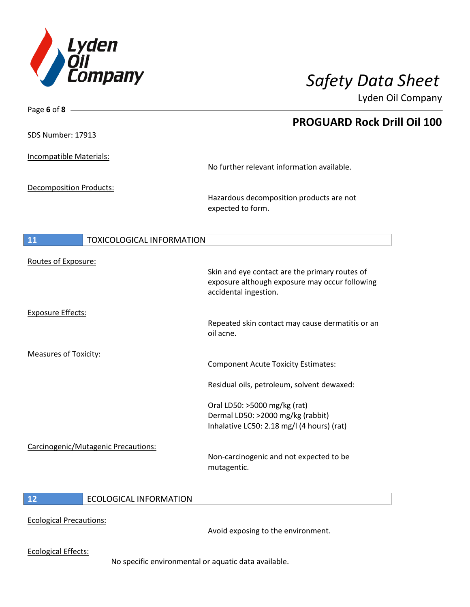

| Page 6 of 8 $-$                               |                                                                         |
|-----------------------------------------------|-------------------------------------------------------------------------|
|                                               | <b>PROGUARD Rock Drill Oil 100</b>                                      |
| SDS Number: 17913                             |                                                                         |
| Incompatible Materials:                       |                                                                         |
|                                               | No further relevant information available.                              |
| Decomposition Products:                       |                                                                         |
|                                               | Hazardous decomposition products are not<br>expected to form.           |
| <b>11</b><br><b>TOXICOLOGICAL INFORMATION</b> |                                                                         |
|                                               |                                                                         |
| Routes of Exposure:                           | Skin and eye contact are the primary routes of                          |
|                                               | exposure although exposure may occur following<br>accidental ingestion. |
| <b>Exposure Effects:</b>                      |                                                                         |
|                                               | Repeated skin contact may cause dermatitis or an<br>oil acne.           |
| <b>Measures of Toxicity:</b>                  |                                                                         |
|                                               | <b>Component Acute Toxicity Estimates:</b>                              |
|                                               | Residual oils, petroleum, solvent dewaxed:                              |
|                                               | Oral LD50: >5000 mg/kg (rat)                                            |
|                                               | Dermal LD50: >2000 mg/kg (rabbit)                                       |
|                                               | Inhalative LC50: 2.18 mg/l (4 hours) (rat)                              |
| Carcinogenic/Mutagenic Precautions:           |                                                                         |
|                                               | Non-carcinogenic and not expected to be<br>mutagentic.                  |
|                                               |                                                                         |

## **12** ECOLOGICAL INFORMATION

Ecological Precautions:

Avoid exposing to the environment.

Ecological Effects:

No specific environmental or aquatic data available.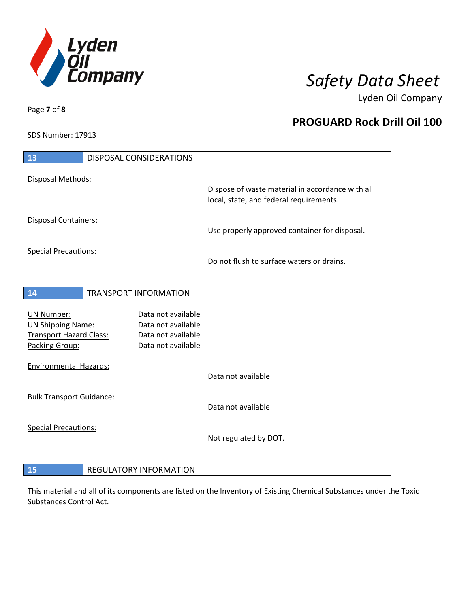

**PROGUARD Rock Drill Oil 100**

Lyden Oil Company

SDS Number: 17913

Page **7** of **8**

| 13                                                                                                | <b>DISPOSAL CONSIDERATIONS</b>                                                       |                                                                                             |
|---------------------------------------------------------------------------------------------------|--------------------------------------------------------------------------------------|---------------------------------------------------------------------------------------------|
| Disposal Methods:                                                                                 |                                                                                      |                                                                                             |
|                                                                                                   |                                                                                      | Dispose of waste material in accordance with all<br>local, state, and federal requirements. |
| Disposal Containers:                                                                              |                                                                                      | Use properly approved container for disposal.                                               |
| <b>Special Precautions:</b>                                                                       |                                                                                      | Do not flush to surface waters or drains.                                                   |
|                                                                                                   |                                                                                      |                                                                                             |
| 14                                                                                                | <b>TRANSPORT INFORMATION</b>                                                         |                                                                                             |
| <b>UN Number:</b><br><b>UN Shipping Name:</b><br><b>Transport Hazard Class:</b><br>Packing Group: | Data not available<br>Data not available<br>Data not available<br>Data not available |                                                                                             |
| <b>Environmental Hazards:</b>                                                                     |                                                                                      | Data not available                                                                          |
| <b>Bulk Transport Guidance:</b>                                                                   |                                                                                      | Data not available                                                                          |
| <b>Special Precautions:</b>                                                                       |                                                                                      | Not regulated by DOT.                                                                       |
| 15                                                                                                | <b>REGULATORY INFORMATION</b>                                                        |                                                                                             |

This material and all of its components are listed on the Inventory of Existing Chemical Substances under the Toxic Substances Control Act.